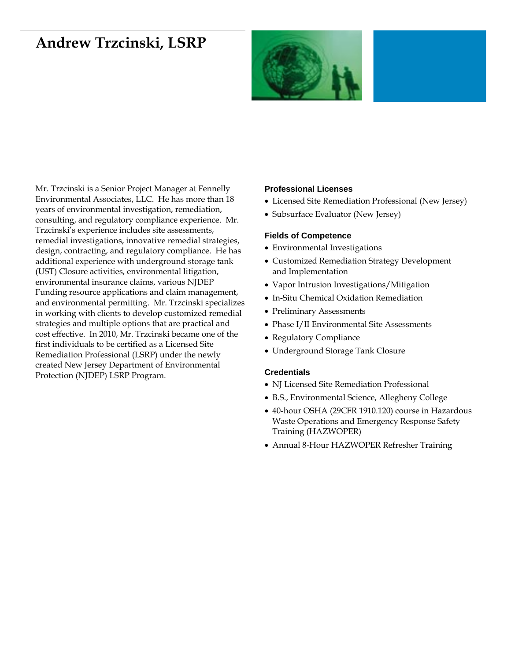# **Andrew Trzcinski, LSRP**



Mr. Trzcinski is a Senior Project Manager at Fennelly Environmental Associates, LLC. He has more than 18 years of environmental investigation, remediation, consulting, and regulatory compliance experience. Mr. Trzcinski's experience includes site assessments, remedial investigations, innovative remedial strategies, design, contracting, and regulatory compliance. He has additional experience with underground storage tank (UST) Closure activities, environmental litigation, environmental insurance claims, various NJDEP Funding resource applications and claim management, and environmental permitting. Mr. Trzcinski specializes in working with clients to develop customized remedial strategies and multiple options that are practical and cost effective. In 2010, Mr. Trzcinski became one of the first individuals to be certified as a Licensed Site Remediation Professional (LSRP) under the newly created New Jersey Department of Environmental Protection (NJDEP) LSRP Program.

## **Professional Licenses**

- Licensed Site Remediation Professional (New Jersey)
- Subsurface Evaluator (New Jersey)

#### **Fields of Competence**

- Environmental Investigations
- Customized Remediation Strategy Development and Implementation
- Vapor Intrusion Investigations/Mitigation
- In-Situ Chemical Oxidation Remediation
- Preliminary Assessments
- Phase I/II Environmental Site Assessments
- Regulatory Compliance
- Underground Storage Tank Closure

### **Credentials**

- NJ Licensed Site Remediation Professional
- B.S., Environmental Science, Allegheny College
- 40-hour OSHA (29CFR 1910.120) course in Hazardous Waste Operations and Emergency Response Safety Training (HAZWOPER)
- Annual 8-Hour HAZWOPER Refresher Training